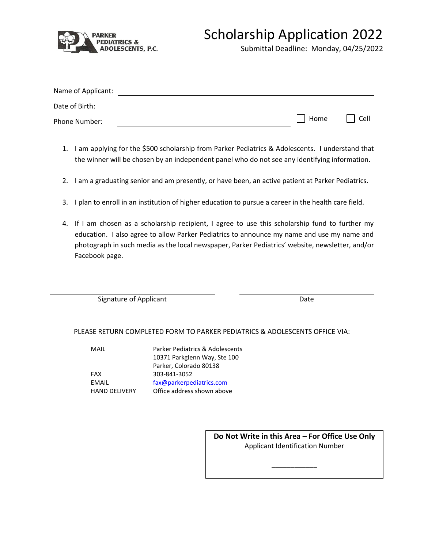

## Scholarship Application 2022

Submittal Deadline: Monday, 04/25/2022

| Name of Applicant: |      |      |
|--------------------|------|------|
| Date of Birth:     |      |      |
| Phone Number:      | Home | Cell |

- 1. I am applying for the \$500 scholarship from Parker Pediatrics & Adolescents. I understand that the winner will be chosen by an independent panel who do not see any identifying information.
- 2. I am a graduating senior and am presently, or have been, an active patient at Parker Pediatrics.
- 3. I plan to enroll in an institution of higher education to pursue a career in the health care field.
- 4. If I am chosen as a scholarship recipient, I agree to use this scholarship fund to further my education. I also agree to allow Parker Pediatrics to announce my name and use my name and photograph in such media as the local newspaper, Parker Pediatrics' website, newsletter, and/or Facebook page.

Signature of Applicant Date Date Date

## PLEASE RETURN COMPLETED FORM TO PARKER PEDIATRICS & ADOLESCENTS OFFICE VIA:

| MAII                 | Parker Pediatrics & Adolescents |
|----------------------|---------------------------------|
|                      | 10371 Parkglenn Way, Ste 100    |
|                      | Parker, Colorado 80138          |
| <b>FAX</b>           | 303-841-3052                    |
| FMAIL                | fax@parkerpediatrics.com        |
| <b>HAND DELIVERY</b> | Office address shown above      |

**Do Not Write in this Area – For Office Use Only** Applicant Identification Number

\_\_\_\_\_\_\_\_\_\_\_\_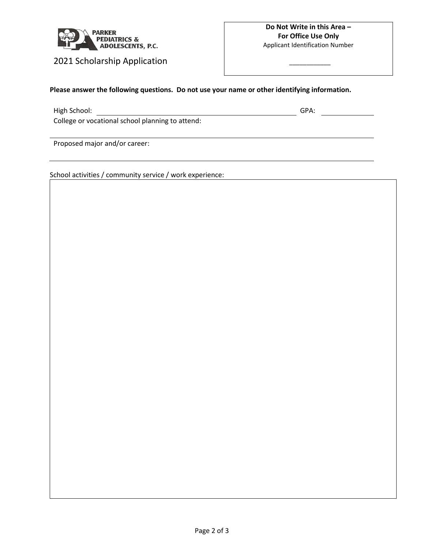

2021 Scholarship Application

 $\overline{\phantom{a}}$   $\overline{\phantom{a}}$   $\overline{\phantom{a}}$   $\overline{\phantom{a}}$   $\overline{\phantom{a}}$   $\overline{\phantom{a}}$   $\overline{\phantom{a}}$   $\overline{\phantom{a}}$   $\overline{\phantom{a}}$   $\overline{\phantom{a}}$   $\overline{\phantom{a}}$   $\overline{\phantom{a}}$   $\overline{\phantom{a}}$   $\overline{\phantom{a}}$   $\overline{\phantom{a}}$   $\overline{\phantom{a}}$   $\overline{\phantom{a}}$   $\overline{\phantom{a}}$   $\overline{\$ 

## **Please answer the following questions. Do not use your name or other identifying information.**

High School: GPA:

College or vocational school planning to attend:

Proposed major and/or career:

School activities / community service / work experience: